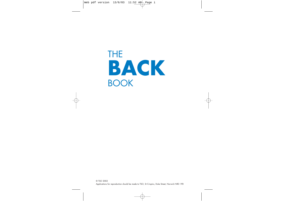Web pdf version  $13/6/03$   $11:52$  AM Page i

# THE **BACK** BOOK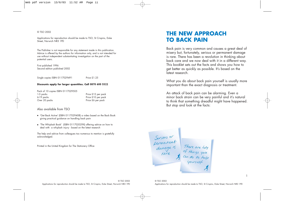#### © TSO 2002

Applications for reproduction should be made to TSO, St Crispins, Duke Street, Norwich NR3 1PD

The Publisher is not responsible for any statement made in this publication. Advice is offered by the authors for information only, and is not intended for use without independent substantiating investigation on the part of the potential users.

First published 1996 Second edition published 2002

Single copies ISBN 0117029491 Price £1.25

#### **Discounts apply for larger quantities. Call 0870 600 5522**

Pack of 10 copies ISBN 0117029505 1-5 packs<br>
19 packs<br>
19 packs<br>
19 packs<br>
19 packs<br>
19 packs<br>
19 packs<br>
20 per pack Over 20 packs Price £6 per pack

#### Also available from TSO

● 'Get Back Active' (ISBN 0117029408) a video based on the Back Book <sup>g</sup>iving practical guidance on handling back pain

Price £10 per pack

● 'The Whiplash Book' (ISBN 011702029X) offering advice on how to deal with a whiplash injury - based on the latest research

The help and advice from colleagues too numerous to mention is gratefully acknowledged.

Printed in the United Kingdom for The Stationery Office

## **THE NEW APPROACH TO BACK PAIN**

Back pain is very common and causes a great deal of misery but, fortunately, serious or permanent damage is rare. There has been a revolution in thinking about back care and we now deal with it in a different way. This booklet sets out the facts and shows you how to get better as quickly as possible. It's based on the latest research.

What you do about back pain yourself is usually more important than the exact diagnosis or treatment.

An attack of back pain can be alarming. Even a minor back strain can be very painful and it's natural to think that something dreadful might have happened. But stop and look at the facts:



© TSO 2002 Applications for reproduction should be made to TSO, St Crispins, Duke Street, Norwich NR3 1PD © TSO 2002 Applications for reproduction should be made to TSO, St Crispins, Duke Street, Norwich NR3 1PD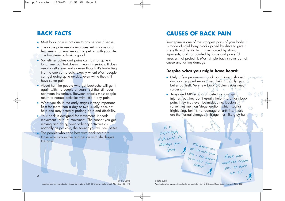## **BACK FACTS**

- Most back pain is not due to any serious disease.
- The acute pain usually improves within days or a few weeks, at least enough to get on with your life. The long-term outlook is good.
- Sometimes aches and pains can last for quite a long time. But that doesn't mean it's serious. It does usually settle eventually - even though it's frustrating that no one can predict exactly when! Most people can get going quite quickly, even while they still have some pain.
- About half the people who get backache will get it again within a couple of years. But that still does not mean it's serious. Between attacks most people return to normal activities with little if any pain.
- What you do in the early stages is very important. Rest for more than a day or two usually does not help and may actually prolong pain and disability.
- Your back is designed for movement: it needs movement - a lot of movement. The sooner you get moving and doing your ordinary activities as normally as possible, the sooner you will feel better.
- The people who cope best with back pain are those who stay active and get on with life despite the pain.

Applications for reproduction should be made to TSO, St Crispins, Duke Street, Norwich NR3 1PD

© TSO 2002

## **CAUSES OF BACK PAIN**

Your spine is one of the strongest parts of your body. It is made of solid bony blocks joined by discs to give it strength and flexibility. It is reinforced by strong ligaments, and surrounded by large and powerful muscles that protect it. Most simple back strains do not cause any lasting damage.

#### **Despite what you might have heard:**

- Only a few people with back pain have a slipped disc or a trapped nerve. Even then, it usually gets better by itself. Very few back problems ever need surgery.
- X-rays and MRI scans can detect serious spinal injuries, but they don't usually help in ordinary back pain. They may even be misleading. Doctors sometimes mention 'degeneration' which sounds frightening, but it's not damage or arthritis. These are the normal changes with age - just like grey hair.

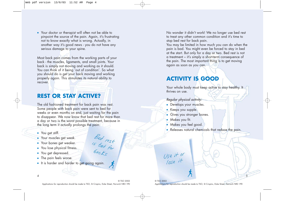• Your doctor or therapist will often not be able to <sup>p</sup>inpoint the source of the pain. Again, it's frustrating not to know exactly what is wrong. Actually, in another way it's good news - you do not have any serious damage to your spine.

Most back pain comes from the working parts of your back - the muscles, ligaments, and small joints. Your back is simply not moving and working as it should. You can think of it being 'out of condition'. So what you should do is get your back moving and working properly again. This stimulates its natural ability to recover.

## **REST OR STAY ACTIVE?**

The old fashioned treatment for back pain was rest. Some people with back pain were sent to bed for weeks or even months on end, just waiting for the pain to disappear. We now know that bed rest for more than a day or two is the worst possible treatment, because in the long term it actually prolongs the pain:

- You get stiff.
- Your muscles get weak.
- Your bones get weaker.
- You lose physical fitness.
- You get depressed.
- The pain feels worse.
- It is harder and harder to get going again.

4

© TSO 2002 Applications for reproduction should be made to TSO, St Crispins, Duke Street, Norwich NR3 1PD

Bed rest<br>Is bad for

No wonder it didn't work! We no longer use bed rest to treat any other common condition and it's time to stop bed rest for back pain.

You may be limited in how much you can do when the pain is bad. You might even be forced to stay in bed at the start. But only for a day or two. Bed rest is not a treatment – it's simply a short-term consequence of the pain. The most important thing is to get moving again as soon as you can.

## **ACTIVITY IS GOOD**

Your whole body must keep active to stay healthy. It thrives on use.

#### *Regular physical activity:*

- Develops your muscles.
- Keeps you supple.
- Gives you stronger bones.
- Makes you fit.

Use it of

© TSO 2002

- Makes you feel good.
- Releases natural chemicals that reduce the pain.

Applications for reproduction should be made to TSO, St Crispins, Duke Street, Norwich NR3 1PD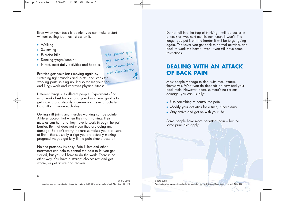Even when your back is painful, you can make a start without putting too much stress on it.

- Walkina
- Swimming
- Exercise bike
- Dancing/yoga/keep fit
- In fact, most daily activities and hobbies.

The sooner you<br>get active, the<br>sooner your back<br>will feel better Exercise gets your back moving again by stretching tight muscles and joints, and stops the working parts seizing up. It also makes your heart and lungs work and improves physical fitness.

Different things suit different people. Experiment - find what works best for you and your back. Your goal is to get moving and steadily increase your level of activity. Do a little bit more each day.

Getting stiff joints and muscles working can be painful. Athletes accept that when they start training, their muscles can hurt and they have to work through the pain barrier. But that does not mean they are doing any damage. So don't worry if exercise makes you a bit sore at first – that's usually a sign you are actually making progress! As you get fully fit the pain should ease off.

No-one pretends it's easy. Pain killers and other treatments can help to control the pain to let you get started, but you still have to do the work. There is no other way. You have a straight choice: rest and get worse, or get active and recover.

Do not fall into the trap of thinking it will be easier in a week or two, next month, next year. It won't! The longer you put it off, the harder it will be to get going again. The faster you get back to normal activities and back to work the better - even if you still have some restrictions.

## **DEALING WITH AN ATTACK OF BACK PAIN**

Most people manage to deal with most attacks themselves. What you do depends on how bad your back feels. However, because there's no serious damage, you can usually:

- Use something to control the pain.
- Modify your activities for a time, if necessary.
- Stay active and get on with your life.

Some people have more persistent pain – but the same principles apply.

© TSO 2002 Applications for reproduction should be made to TSO, St Crispins, Duke Street, Norwich NR3 1PD © TSO 2002 Applications for reproduction should be made to TSO, St Crispins, Duke Street, Norwich NR3 1PD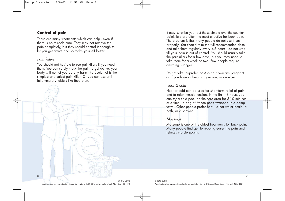### **Control of pain**

There are many treatments which can help - even if there is no miracle cure. They may not remove the pain completely, but they should control it enough to let you get active and so make yourself better.

#### *Pain killers*

You should not hesitate to use painkillers if you need them. You can safely mask the pain to get active: your body will not let you do any harm. Paracetamol is the simplest and safest pain killer. Or you can use antiinflammatory tablets like Ibuprofen.



Applications for reproduction should be made to TSO, St Crispins, Duke Street, Norwich NR3 1PD

It may surprise you, but these simple over-the-counter painkillers are often the most effective for back pain. The problem is that many people do not use them properly. You should take the full recommended dose and take them regularly every 4-6 hours - do not wait till your pain is out of control. You should usually take the painkillers for a few days, but you may need to take them for a week or two. Few people require anything stronger.

Do not take Ibuprofen or Aspirin if you are pregnant or if you have asthma, indigestion, or an ulcer.

#### *Heat & cold*

Heat or cold can be used for short-term relief of pain and to relax muscle tension. In the first 48 hours you can try a cold pack on the sore area for 5-10 minutes at a time - a bag of frozen peas wrapped in a damp towel. Other people prefer heat - a hot water bottle, a bath, or a shower.

#### *Massage*

Massage is one of the oldest treatments for back pain. Many people find gentle rubbing eases the pain and relaxes muscle spasm.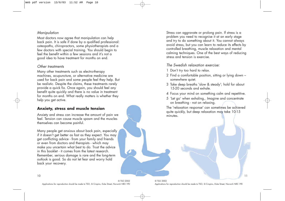#### *Manipulation*

Most doctors now agree that manipulation can help back pain. It is safe if done by a qualified professional: osteopaths, chiropractors, some physiotherapists and a few doctors with special training. You should begin to feel the benefit within a few sessions and it's not a good idea to have treatment for months on end.

#### *Other treatments*

Many other treatments such as electro-therapy machines, acupuncture, or alternative medicine are used for back pain and some people feel they help. But be realistic. Despite the claims, these treatments rarely provide a quick fix. Once again, you should feel any benefit quite quickly and there is no value in treatment for months on end. What really matters is whether they help you get active.

#### **Anxiety, stress and muscle tension**

Anxiety and stress can increase the amount of pain we feel. Tension can cause muscle spasm and the muscles themselves can become painful.

Many people get anxious about back pain, especially if it doesn't get better as fast as they expect. You may get conflicting advice - from your family and friends or even from doctors and therapists - which may make you uncertain what best to do. Trust the advice in this booklet - it comes from the latest research. Remember, serious damage is rare and the long-term outlook is good. So do not let fear and worry hold back your recovery.

Stress can aggravate or prolong pain. If stress is a problem you need to recognise it at an early stage and try to do something about it. You cannot always avoid stress, but you can learn to reduce its effects by controlled breathing, muscle relaxation and mental calming techniques. One of the best ways of reducing stress and tension is exercise.

#### *The Swedish relaxation exercise:*

- <sup>1</sup> Don't try too hard to relax.
- <sup>2</sup> Find a comfortable position, sitting or lying down somewhere quiet.
- 3 Take deep breaths 'slow & steady'; hold for about 15-20 seconds and exhale.
- 4 Focus your mind on something calm and repetitive.
- 5 'Let go' when exhaling,. Imagine and concentrate on breathing - not on relaxing.

The 'relaxation response' can sometimes be achieved quite quickly, but deep relaxation may take 10-15 minutes.

10

© TSO 2002 Applications for reproduction should be made to TSO, St Crispins, Duke Street, Norwich NR3 1PD

© TSO 2002 Applications for reproduction should be made to TSO, St Crispins, Duke Street, Norwich NR3 1PD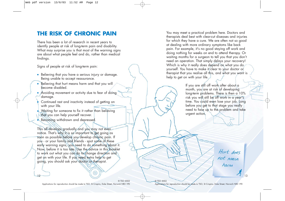## **THE RISK OF CHRONIC PAIN**

There has been a lot of research in recent years to identify people at risk of long-term pain and disability. What may surprise you is that most of the warning signs are about what people feel and do, rather than medical findings.

Signs of people at risk of long-term pain:

- Believing that you have a serious injury or damage. Being unable to accept reassurance.
- Believing that hurt means harm and that you will become disabled.
- Avoiding movement or activity due to fear of doing damage.
- Continued rest and inactivity instead of getting on with your life.
- Waiting for someone to fix it rather than believing that you can help yourself recover. Becoming withdrawn and depressed.

This all develops gradually and you may not even notice. That's why it is so important to get going as soon as possible before you develop chronic pain. If you - or your family and friends - spot some of these early warning signs, you need to do something about it. Now, before it is too late. Use the advice in this booklet to work out what you can do to change direction and get on with your life. If you need extra help to get going, you should ask your doctor or therapist.

12

© TSO 2002 Applications for reproduction should be made to TSO, St Crispins, Duke Street, Norwich NR3 1PD

 $\circ$ 

You may meet a practical problem here. Doctors and therapists deal best with clear-cut diseases and injuries for which they have a cure. We are often not so good at dealing with more ordinary symptoms like back pain. For example, it's no good staying off work and doing nothing for weeks on end to attend therapy. Or waiting months for a surgeon to tell you that you don't need an operation. That simply delays your recovery! Which is why it really does depend on what you do yourself. You have to make it clear to your doctor or therapist that you realise all this, and what you want is help to get on with your life.

> If you are still off work after about a month, you are at risk of developing long-term problems. There is then a 10% risk you will still be off work in a year's time. You could even lose your job. Long before you get to that stage you really need to face up to the problem and take urgent action.

> > Hurt does not mean harm

> > > 13

Applications for reproduction should be made to TSO, St Crispins, Duke Street, Norwich NR3 1PD

© TSO 2002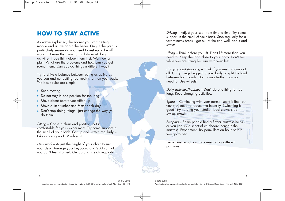## **HOW TO STAY ACTIVE**

As we've explained, the sooner you start getting mobile and active again the better. Only if the pain is particularly severe do you need to rest up or be off work. But even then you can still do most daily activities if you think about them first. Work out a <sup>p</sup>lan. What are the problems and how can you get round them? Can you do things a different way?

Try to strike a balance between being as active as you can and not putting too much strain on your back. The basic rules are simple:

- Keep moving.
- Do not stay in one position for too long.
- Move about before you stiffen up.
- Move a little further and faster each day.
- Don't stop doing things just change the way you do them.

*Sitting* – Chose a chair and position that is comfortable for you - experiment. Try some support in the small of your back. Get up and stretch regularly – take advantage of TV adverts!

*Desk work* – Adjust the height of your chair to suit your desk. Arrange your keyboard and VDU so that you don't feel strained. Get up and stretch regularly. *Driving* – Adjust your seat from time to time. Try some support in the small of your back. Stop regularly for a few minutes break - get out of the car, walk about and stretch.

*Lifting* – Think before you lift. Don't lift more than you need to. Keep the load close to your body. Don't twist while you are lifting but turn with your feet.

*Carrying and shopping* – Think if you need to carry at all. Carry things hugged to your body or split the load between both hands. Don't carry further than you need to. Use wheels!

*Daily activities/hobbies* – Don't do one thing for too long. Keep changing activities.

*Sports* – Continuing with your normal sport is fine, but you may need to reduce the intensity. Swimming is good - try varying your stroke - backstroke, side stroke, crawl.

*Sleeping* – Some people find a firmer mattress helps or you can try a sheet of chipboard beneath the mattress. Experiment. Try painkillers an hour before you go to bed.

*Sex* – Fine! – but you may need to try different positions.



© TSO 2002 Applications for reproduction should be made to TSO, St Crispins, Duke Street, Norwich NR3 1PD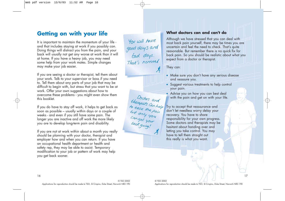## **Getting on with your life**

It is important to maintain the momentum of your life and that includes staying at work if you possibly can. Doing things will distract you from the pain, and your back will usually not get any worse at work than it will at home. If you have a heavy job, you may need some help from your work mates. Simple changes may make your job easier.

If you are seeing a doctor or therapist, tell them about your work. Talk to your supervisor or boss if you need to. Tell them about any parts of your job that may be difficult to begin with, but stress that you want to be at work. Offer your own suggestions about how to overcome these problems - you might even show them this booklet.

If you do have to stay off work, it helps to get back as soon as possible – usually within days or a couple of weeks - and even if you still have some pain. The longer you are inactive and off work the more likely you are to develop long-term pain and disability.

If you are not at work within about a month you really should be planning with your doctor, therapist and employer how and when you can return. If you have an occupational health department or health and safety rep, they may be able to assist. Temporary modification to your job or pattern of work may help you get back sooner.

You will have<br>good days and<br>bad days.

© TSO 2002

#### **What doctors can and can't do**

Although we have stressed that you can deal with most back pain yourself, there may be times you are uncertain and feel the need to check. That's quite reasonable. But remember there is no quick fix for back pain. So you should be realistic about what you expect from a doctor or therapist.

They can:

- Make sure you don't have any serious disease and reassure you.
- Suggest various treatments to help control your pain.
- with the pain and get on with your life.

But the appears and<br>
Advise you on how you can best deal<br>
with the pain and get on with your life<br>
the pains of the pain<br>
on the pain of the research don't let needless worry delay your<br>
Can get your<br>
Can get your<br>
Some d Try to accept that reassurance and don't let needless worry delay your recovery. You have to share responsibility for your own progress. Some doctors and therapists may be hesitant about handing over and letting you take control. You may have to tell them straight out this really is what you want.

16

© TSO 2002 Applications for reproduction should be made to TSO, St Crispins, Duke Street, Norwich NR3 1PD

Applications for reproduction should be made to TSO, St Crispins, Duke Street, Norwich NR3 1PD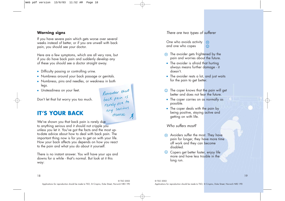#### **Warning signs**

If you have severe pain which gets worse over several weeks instead of better, or if you are unwell with back pain, you should see your doctor.

Here are a few symptoms, which are all very rare, but if you do have back pain and suddenly develop any of these you should see a doctor straight away.

- Difficulty passing or controlling urine.
- Numbness around your back passage or genitals.
- Numbness, pins and needles, or weakness in both legs. Remember that

Remember<br>back pain is<br>rarely due to<br>any serious

disease

● Unsteadiness on your feet.

Don't let that list worry you too much.

## **IT'S YOUR BACK**

We've shown you that back pain is rarely due to anything serious and it should not cripple you unless you let it. You've got the facts and the most upto-date advice about how to deal with back pain. The important thing now is for you to get on with your life. How your back affects you depends on how you react to the pain and what you do about it yourself.

There is no instant answer. You will have your ups and downs for a while - that's normal. But look at it this way:

*There are two types of sufferer*

One who avoids activity ශ and one who copes  $\odot$ 

- $\circledR$  The avoider gets frightened by the pain and worries about the future.
- The avoider is afraid that hurting always means further damage - it doesn't.
- The avoider rests a lot, and just waits for the pain to get better.
- The coper knows that the pain will get better and does not fear the future.
- The coper carries on as normally as possible.
- The coper deals with the pain by being positive, staying active and getting on with life.

#### *Who suffers most?*

© TSO 2002

- $\odot$  Avoiders suffer the most. They have pain for longer, they have more time off work and they can become disabled.
- Copers get better faster, enjoy life more and have less trouble in the long run.

18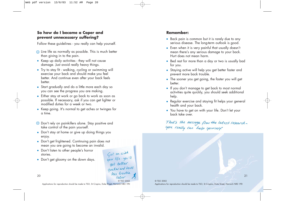#### **So how do I become a Coper and prevent unnecessary suffering?**

Follow these guidelines - you really can help yourself.

- $\odot$  Live life as normally as possible. This is much better than giving in to the pain.
- Keep up daily activities they will not cause damage. Just avoid really heavy things.
- Try to stay fit walking, cycling or swimming will exercise your back and should make you feel better. And continue even after your back feels better.
- Start gradually and do a little more each day so you can see the progress you are making.
- Either stay at work or go back to work as soon as possible. If necessary, ask if you can get lighter or modified duties for a week or two.
- Keep going. It's normal to get aches or twinges for a time.
- <sup>3</sup> Don't rely on painkillers alone. Stay positive and take control of the pain yourself.
- Don't stay at home or give up doing things you enjoy.
- Don't get frightened. Continuing pain does not mean you are going to become an invalid.

Applications for reproduction should be made to TSO, St Crispins, Duke Street, Norwich NR3 1PD

- Don't listen to other people's horror stories.
- Don't get gloomy on the down days.
- 20

```
Get on with<br>your life - you'll<br>get better<br>gucker and have
       less trouble
                  © TSO 2002
```
#### **Remember:**

- Back pain is common but it is rarely due to any serious disease. The long-term outlook is good.
- Even when it is very painful that usually doesn't mean there's any serious damage to your back. Hurt does not mean harm.
- Bed rest for more than a day or two is usually bad for you.
- Staying active will help you get better faster and prevent more back trouble.
- The sooner you get going, the faster you will get better.
- If you don't manage to get back to most normal activities quite quickly, you should seek additional help.
- Regular exercise and staying fit helps your general health and your back.
- You have to get on with your life. Don't let your back take over.

## That's the message from the latest researchyou really can help yourself